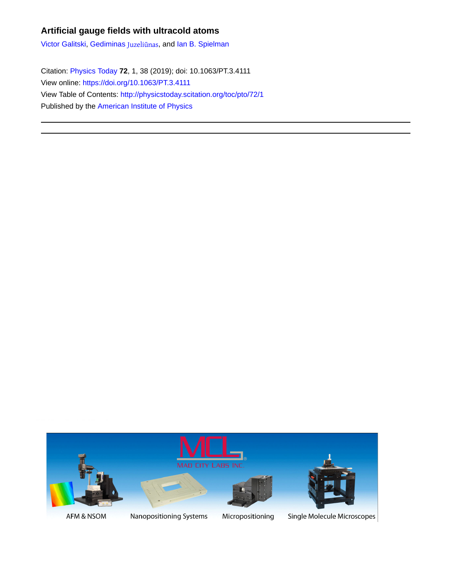# **Artificial gauge fields with ultracold atoms**

[Victor Galitski](http://physicstoday.scitation.org/author/Galitski%2C+Victor), [Gediminas](http://physicstoday.scitation.org/author/Juzeli%C5%ABnas%2C+Gediminas) Juzeliūnas, and [Ian B. Spielman](http://physicstoday.scitation.org/author/Spielman%2C+Ian+B)

Citation: [Physics Today](/loi/pto) **72**, 1, 38 (2019); doi: 10.1063/PT.3.4111 View online: <https://doi.org/10.1063/PT.3.4111> View Table of Contents: <http://physicstoday.scitation.org/toc/pto/72/1> Published by the [American Institute of Physics](http://physicstoday.scitation.org/publisher/)



AFM & NSOM

Nanopositioning Systems

Micropositioning

Single Molecule Microscopes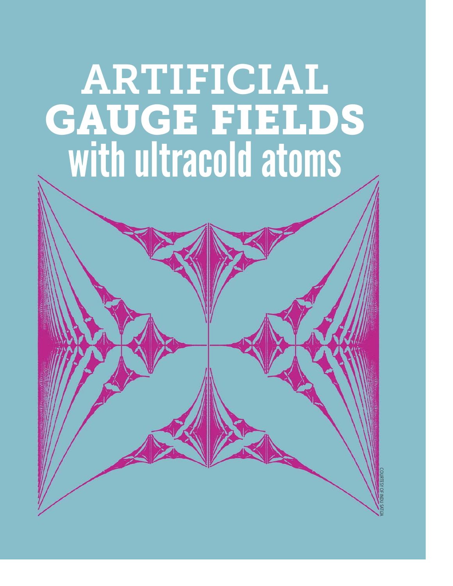# ARTIFICIAL **GAUGE FIELDS** with ultracold atoms

COURTESYOFINDUSATIJA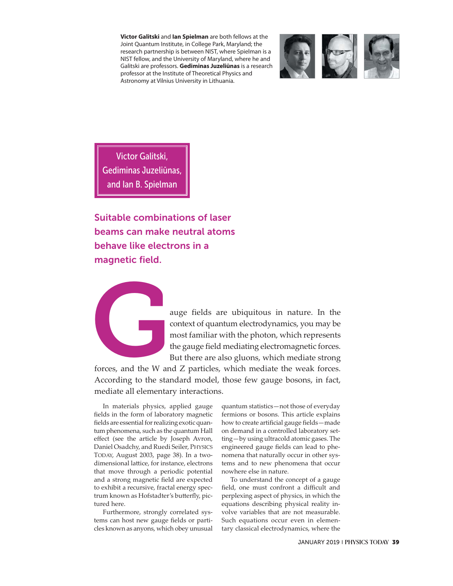**Victor Galitski** and **Ian Spielman** are both fellows at the Joint Quantum Institute, in College Park, Maryland; the research partnership is between NIST, where Spielman is a NIST fellow, and the University of Maryland, where he and Galitski are professors. **Gediminas Juzeliūnas** is a research professor at the Institute of Theoretical Physics and Astronomy at Vilnius University in Lithuania.



Victor Galitski, Gediminas Juzeliūnas, and Ian B. Spielman

**Suitable combinations of laser beams can make neutral atoms behave like electrons in a magnetic field.** 



auge fields are ubiquitous in nature. In the<br>context of quantum electrodynamics, you may be<br>most familiar with the photon, which represents<br>the gauge field mediating electromagnetic forces.<br>But there are also gluons, which context of quantum electrodynamics, you may be most familiar with the photon, which represents the gauge field mediating electromagnetic forces. But there are also gluons, which mediate strong

forces, and the W and Z particles, which mediate the weak forces. According to the standard model, those few gauge bosons, in fact, mediate all elementary interactions.

In materials physics, applied gauge fields in the form of laboratory magnetic fields are essential for realizing exotic quantum phenomena, such as the quantum Hall effect (see the article by Joseph Avron, Daniel Osadchy, and Ruedi Seiler, PHYSICS TODAY, August 2003, page 38). In a two dimensional lattice, for instance, electrons that move through a periodic potential and a strong magnetic field are expected to exhibit a recursive, fractal energy spectrum known as Hofstadter's butterfly, pictured here.

Furthermore, strongly correlated systems can host new gauge fields or particles known as anyons, which obey unusual

quantum statistics—not those of everyday fermions or bosons. This article explains how to create artificial gauge fields—made on demand in a controlled laboratory setting—by using ultracold atomic gases. The engineered gauge fields can lead to phenomena that naturally occur in other systems and to new phenomena that occur nowhere else in nature.

To understand the concept of a gauge field, one must confront a difficult and perplexing aspect of physics, in which the equations describing physical reality involve variables that are not measurable. Such equations occur even in elementary classical electrodynamics, where the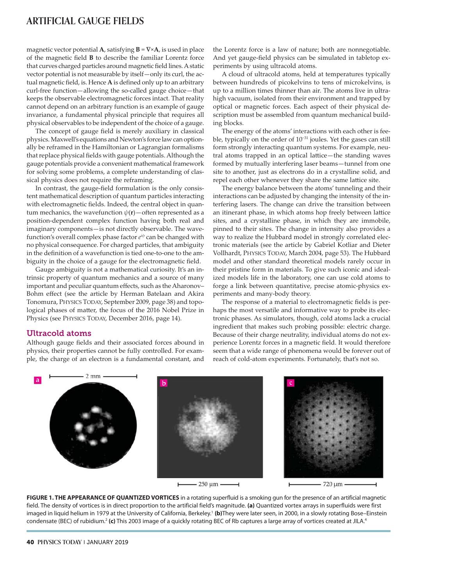# **ARTIFICIAL GAUGE FIELDS**

magnetic vector potential **A**, satisfying  $\mathbf{B} = \nabla \times \mathbf{A}$ , is used in place of the magnetic field **B** to describe the familiar Lorentz force that curves charged particles around magnetic field lines. A static vector potential is not measurable by itself—only its curl, the actual magnetic field, is. Hence **A** is defined only up to an arbitrary curl-free function—allowing the so-called gauge choice—that keeps the observable electromagnetic forces intact. That reality cannot depend on an arbitrary function is an example of gauge invariance, a fundamental physical principle that requires all physical observables to be independent of the choice of a gauge.

The concept of gauge field is merely auxiliary in classical physics. Maxwell's equations and Newton's force law can optionally be reframed in the Hamiltonian or Lagrangian formalisms that replace physical fields with gauge potentials. Although the gauge potentials provide a convenient mathematical framework for solving some problems, a complete understanding of classical physics does not require the reframing.

In contrast, the gauge-field formulation is the only consistent mathematical description of quantum particles interacting with electromagnetic fields. Indeed, the central object in quantum mechanics, the wavefunction  $\psi(\mathbf{r})$  – often represented as a position-dependent complex function having both real and imaginary components—is not directly observable. The wavefunction's overall complex phase factor  $e^{i\phi}$  can be changed with no physical consequence. For charged particles, that ambiguity in the definition of a wavefunction is tied one-to-one to the ambiguity in the choice of a gauge for the electromagnetic field.

Gauge ambiguity is not a mathematical curiosity. It's an intrinsic property of quantum mechanics and a source of many important and peculiar quantum effects, such as the Aharonov– Bohm effect (see the article by Herman Batelaan and Akira Tonomura, PHYSICS TODAY, September 2009, page 38) and topological phases of matter, the focus of the 2016 Nobel Prize in Physics (see PHYSICS TODAY, December 2016, page 14).

#### Ultracold atoms

Although gauge fields and their associated forces abound in physics, their properties cannot be fully controlled. For example, the charge of an electron is a fundamental constant, and the Lorentz force is a law of nature; both are nonnegotiable. And yet gauge-field physics can be simulated in tabletop experiments by using ultracold atoms.

A cloud of ultracold atoms, held at temperatures typically between hundreds of picokelvins to tens of microkelvins, is up to a million times thinner than air. The atoms live in ultrahigh vacuum, isolated from their environment and trapped by optical or magnetic forces. Each aspect of their physical description must be assembled from quantum mechanical building blocks.

The energy of the atoms' interactions with each other is feeble, typically on the order of 10−31 joules. Yet the gases can still form strongly interacting quantum systems. For example, neutral atoms trapped in an optical lattice—the standing waves formed by mutually interfering laser beams—tunnel from one site to another, just as electrons do in a crystalline solid, and repel each other whenever they share the same lattice site.

The energy balance between the atoms' tunneling and their interactions can be adjusted by changing the intensity of the interfering lasers. The change can drive the transition between an itinerant phase, in which atoms hop freely between lattice sites, and a crystalline phase, in which they are immobile, pinned to their sites. The change in intensity also provides a way to realize the Hubbard model in strongly correlated electronic materials (see the article by Gabriel Kotliar and Dieter Vollhardt, PHYSICS TODAY, March 2004, page 53). The Hubbard model and other standard theoretical models rarely occur in their pristine form in materials. To give such iconic and idealized models life in the laboratory, one can use cold atoms to forge a link between quantitative, precise atomic-physics experiments and many-body theory.

The response of a material to electromagnetic fields is perhaps the most versatile and informative way to probe its electronic phases. As simulators, though, cold atoms lack a crucial ingredient that makes such probing possible: electric charge. Because of their charge neutrality, individual atoms do not experience Lorentz forces in a magnetic field. It would therefore seem that a wide range of phenomena would be forever out of reach of cold-atom experiments. Fortunately, that's not so.



**FIGURE 1. THE APPEARANCE OF QUANTIZED VORTICES** in a rotating superfluid is a smoking gun for the presence of an artificial magnetic field. The density of vortices is in direct proportion to the artificial field's magnitude. **(a)** Quantized vortex arrays in superfluids were first imaged in liquid helium in 1979 at the University of California, Berkeley.<sup>1</sup> (b)They were later seen, in 2000, in a slowly rotating Bose-Einstein condensate (BEC) of rubidium.<sup>2</sup> (c) This 2003 image of a quickly rotating BEC of Rb captures a large array of vortices created at JILA.<sup>4</sup>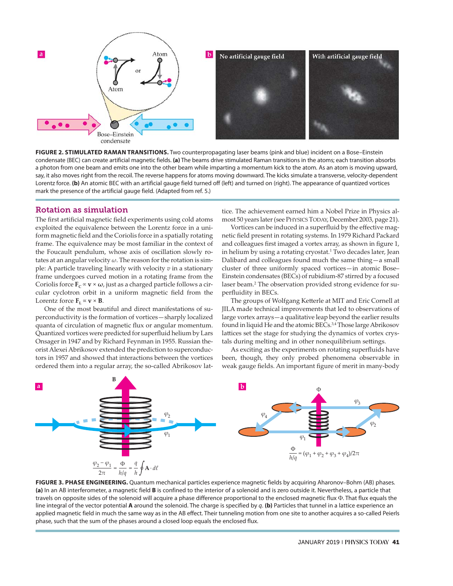

**FIGURE 2. STIMULATED RAMAN TRANSITIONS.** Two counterpropagating laser beams (pink and blue) incident on a Bose–Einstein condensate (BEC) can create artificial magnetic fields. **(a)** The beams drive stimulated Raman transitions in the atoms; each transition absorbs a photon from one beam and emits one into the other beam while imparting a momentum kick to the atom. As an atom is moving upward, say, it also moves right from the recoil. The reverse happens for atoms moving downward. The kicks simulate a transverse, velocity-dependent Lorentz force. **(b)** An atomic BEC with an artificial gauge field turned off (left) and turned on (right). The appearance of quantized vortices mark the presence of the artificial gauge field. (Adapted from ref. 5.)

#### Rotation as simulation

The first artificial magnetic field experiments using cold atoms exploited the equivalence between the Lorentz force in a uniform magnetic field and the Coriolis force in a spatially rotating frame. The equivalence may be most familiar in the context of the Foucault pendulum, whose axis of oscillation slowly rotates at an angular velocity *ω*. The reason for the rotation is simple: A particle traveling linearly with velocity *v* in a stationary frame undergoes curved motion in a rotating frame from the Coriolis force  $\mathbf{F}_c \propto \mathbf{v} \times \boldsymbol{\omega}$ , just as a charged particle follows a circular cyclotron orbit in a uniform magnetic field from the Lorentz force  $\mathbf{F}_{\text{L}} \propto \mathbf{v} \times \mathbf{B}$ .

One of the most beautiful and direct manifestations of superconductivity is the formation of vortices—sharply localized quanta of circulation of magnetic flux or angular momentum. Quantized vortices were predicted for superfluid helium by Lars Onsager in 1947 and by Richard Feynman in 1955. Russian theorist Alexei Abrikosov extended the prediction to superconductors in 1957 and showed that interactions between the vortices ordered them into a regular array, the so-called Abrikosov lattice. The achievement earned him a Nobel Prize in Physics almost 50 years later (see PHYSICS TODAY, December 2003, page 21).

Vortices can be induced in a superfluid by the effective magnetic field present in rotating systems. In 1979 Richard Packard and colleagues first imaged a vortex array, as shown in figure 1, in helium by using a rotating cryostat.<sup>1</sup> Two decades later, Jean Dalibard and colleagues found much the same thing—a small cluster of three uniformly spaced vortices—in atomic Bose– Einstein condensates (BECs) of rubidium-87 stirred by a focused laser beam.<sup>2</sup> The observation provided strong evidence for superfluidity in BECs.

The groups of Wolfgang Ketterle at MIT and Eric Cornell at JILA made technical improvements that led to observations of large vortex arrays—a qualitative leap beyond the earlier results found in liquid He and the atomic BECs.<sup>3,4</sup> Those large Abrikosov lattices set the stage for studying the dynamics of vortex crystals during melting and in other nonequilibrium settings.

As exciting as the experiments on rotating superfluids have been, though, they only probed phenomena observable in weak gauge fields. An important figure of merit in many-body



**FIGURE 3. PHASE ENGINEERING.** Quantum mechanical particles experience magnetic fields by acquiring Aharonov–Bohm (AB) phases. **(a)** In an AB interferometer, a magnetic field **B** is confined to the interior of a solenoid and is zero outside it. Nevertheless, a particle that travels on opposite sides of the solenoid will acquire a phase difference proportional to the enclosed magnetic flux Φ. That flux equals the line integral of the vector potential **A** around the solenoid. The charge is specified by *q*. **(b)** Particles that tunnel in a lattice experience an applied magnetic field in much the same way as in the AB effect. Their tunneling motion from one site to another acquires a so-called Peierls phase, such that the sum of the phases around a closed loop equals the enclosed flux.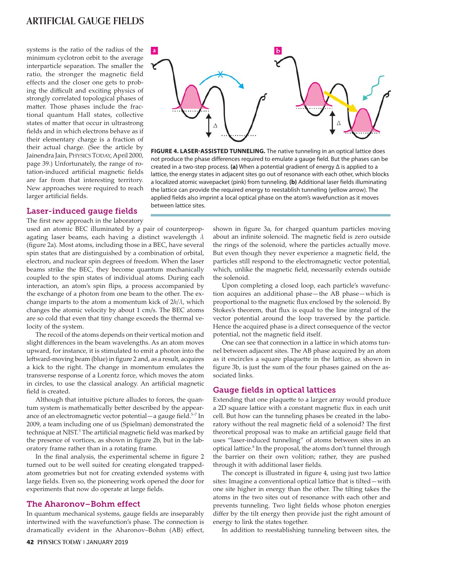### **ARTIFICIAL GAUGE FIELDS**

systems is the ratio of the radius of the minimum cyclotron orbit to the average interparticle separation. The smaller the ratio, the stronger the magnetic field effects and the closer one gets to probing the difficult and exciting physics of strongly correlated topological phases of matter. Those phases include the fractional quantum Hall states, collective states of matter that occur in ultrastrong fields and in which electrons behave as if their elementary charge is a fraction of their actual charge. (See the article by Jainendra Jain, PHYSICS TODAY, April 2000, page 39.) Unfortunately, the range of rotation-induced artificial magnetic fields are far from that interesting territory. New approaches were required to reach larger artificial fields.



**FIGURE 4. LASER-ASSISTED TUNNELING.** The native tunneling in an optical lattice does not produce the phase differences required to emulate a gauge field. But the phases can be created in a two-step process. **(a)** When a potential gradient of energy Δ is applied to a lattice, the energy states in adjacent sites go out of resonance with each other, which blocks a localized atomic wavepacket (pink) from tunneling. **(b)** Additional laser fields illuminating the lattice can provide the required energy to reestablish tunneling (yellow arrow). The applied fields also imprint a local optical phase on the atom's wavefunction as it moves between lattice sites.

#### Laser-induced gauge fields

The first new approach in the laboratory

used an atomic BEC illuminated by a pair of counterpropagating laser beams, each having a distinct wavelength *λ* (figure 2a). Most atoms, including those in a BEC, have several spin states that are distinguished by a combination of orbital, electron, and nuclear spin degrees of freedom. When the laser beams strike the BEC, they become quantum mechanically coupled to the spin states of individual atoms. During each interaction, an atom's spin flips, a process accompanied by the exchange of a photon from one beam to the other. The exchange imparts to the atom a momentum kick of 2*h*/*λ*, which changes the atomic velocity by about 1 cm/s. The BEC atoms are so cold that even that tiny change exceeds the thermal velocity of the system.

The recoil of the atoms depends on their vertical motion and slight differences in the beam wavelengths. As an atom moves upward, for instance, it is stimulated to emit a photon into the leftward-moving beam (blue) in figure 2 and, as a result, acquires a kick to the right. The change in momentum emulates the transverse response of a Lorentz force, which moves the atom in circles, to use the classical analogy. An artificial magnetic field is created.

Although that intuitive picture alludes to forces, the quantum system is mathematically better described by the appearance of an electromagnetic vector potential—a gauge field.<sup>5-7</sup> In 2009, a team including one of us (Spielman) demonstrated the technique at NIST.<sup>5</sup> The artificial magnetic field was marked by the presence of vortices, as shown in figure 2b, but in the laboratory frame rather than in a rotating frame.

In the final analysis, the experimental scheme in figure 2 turned out to be well suited for creating elongated trappedatom geometries but not for creating extended systems with large fields. Even so, the pioneering work opened the door for experiments that now do operate at large fields.

#### The Aharonov–Bohm effect

In quantum mechanical systems, gauge fields are inseparably intertwined with the wavefunction's phase. The connection is dramatically evident in the Aharonov–Bohm (AB) effect, shown in figure 3a, for charged quantum particles moving about an infinite solenoid. The magnetic field is zero outside the rings of the solenoid, where the particles actually move. But even though they never experience a magnetic field, the particles still respond to the electromagnetic vector potential, which, unlike the magnetic field, necessarily extends outside the solenoid.

Upon completing a closed loop, each particle's wavefunction acquires an additional phase—the AB phase—which is proportional to the magnetic flux enclosed by the solenoid. By Stokes's theorem, that flux is equal to the line integral of the vector potential around the loop traversed by the particle. Hence the acquired phase is a direct consequence of the vector potential, not the magnetic field itself.

One can see that connection in a lattice in which atoms tunnel between adjacent sites. The AB phase acquired by an atom as it encircles a square plaquette in the lattice, as shown in figure 3b, is just the sum of the four phases gained on the associated links.

#### Gauge fields in optical lattices

Extending that one plaquette to a larger array would produce a 2D square lattice with a constant magnetic flux in each unit cell. But how can the tunneling phases be created in the laboratory without the real magnetic field of a solenoid? The first theoretical proposal was to make an artificial gauge field that uses "laser-induced tunneling" of atoms between sites in an optical lattice.<sup>8</sup> In the proposal, the atoms don't tunnel through the barrier on their own volition; rather, they are pushed through it with additional laser fields.

The concept is illustrated in figure 4, using just two lattice sites: Imagine a conventional optical lattice that is tilted—with one site higher in energy than the other. The tilting takes the atoms in the two sites out of resonance with each other and prevents tunneling. Two light fields whose photon energies differ by the tilt energy then provide just the right amount of energy to link the states together.

In addition to reestablishing tunneling between sites, the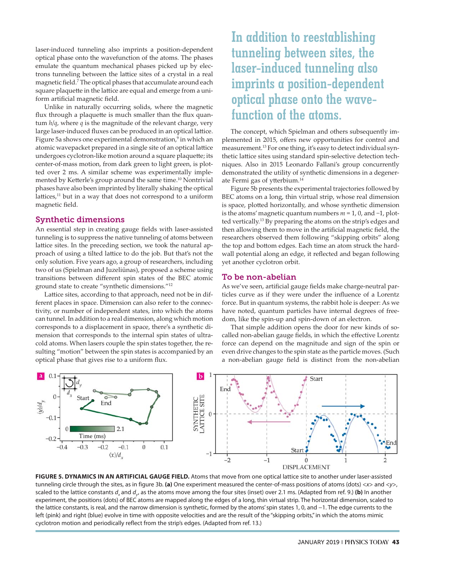laser-induced tunneling also imprints a position-dependent optical phase onto the wavefunction of the atoms. The phases emulate the quantum mechanical phases picked up by electrons tunneling between the lattice sites of a crystal in a real magnetic field.7 The optical phases that accumulate around each square plaquette in the lattice are equal and emerge from a uniform artificial magnetic field.

Unlike in naturally occurring solids, where the magnetic flux through a plaquette is much smaller than the flux quantum *h*/*q*, where *q* is the magnitude of the relevant charge, very large laser-induced fluxes can be produced in an optical lattice. Figure 5a shows one experimental demonstration, $9$  in which an atomic wave packet prepared in a single site of an optical lattice undergoes cyclotron-like motion around a square plaquette; its center-of-mass motion, from dark green to light green, is plotted over 2 ms. A similar scheme was experimentally implemented by Ketterle's group around the same time.<sup>10</sup> Nontrivial phases have also been imprinted by literally shaking the optical lattices, $11$  but in a way that does not correspond to a uniform magnetic field.

#### Synthetic dimensions

An essential step in creating gauge fields with laser-assisted tunneling is to suppress the native tunneling of atoms between lattice sites. In the preceding section, we took the natural approach of using a tilted lattice to do the job. But that's not the only solution. Five years ago, a group of researchers, including two of us (Spielman and Juzeliūnas), proposed a scheme using transitions between different spin states of the BEC atomic ground state to create "synthetic dimensions."12

Lattice sites, according to that approach, need not be in different places in space. Dimension can also refer to the connectivity, or number of independent states, into which the atoms can tunnel. In addition to a real dimension, along which motion corresponds to a displacement in space, there's a synthetic dimension that corresponds to the internal spin states of ultracold atoms. When lasers couple the spin states together, the resulting "motion" between the spin states is accompanied by an optical phase that gives rise to a uniform flux.

# **In addition to reestablishing tunneling between sites, the laser-induced tunneling also imprints a position-dependent optical phase onto the wavefunction of the atoms.**

The concept, which Spielman and others subsequently implemented in 2015, offers new opportunities for control and measurement.<sup>13</sup> For one thing, it's easy to detect individual synthetic lattice sites using standard spin-selective detection techniques. Also in 2015 Leonardo Fallani's group concurrently demonstrated the utility of synthetic dimensions in a degenerate Fermi gas of ytterbium.14

Figure 5b presents the experimental trajectories followed by BEC atoms on a long, thin virtual strip, whose real dimension is space, plotted horizontally, and whose synthetic dimension is the atoms' magnetic quantum numbers *m* = 1, 0, and −1, plotted vertically.<sup>13</sup> By preparing the atoms on the strip's edges and then allowing them to move in the artificial magnetic field, the researchers observed them following "skipping orbits" along the top and bottom edges. Each time an atom struck the hardwall potential along an edge, it reflected and began following yet another cyclotron orbit.

#### To be non-abelian

As we've seen, artificial gauge fields make charge-neutral particles curve as if they were under the influence of a Lorentz force. But in quantum systems, the rabbit hole is deeper: As we have noted, quantum particles have internal degrees of freedom, like the spin-up and spin-down of an electron.

That simple addition opens the door for new kinds of socalled non-abelian gauge fields, in which the effective Lorentz force can depend on the magnitude and sign of the spin or even drive changes to the spin state as the particle moves. (Such a non-abelian gauge field is distinct from the non-abelian



**FIGURE 5. DYNAMICS IN AN ARTIFICIAL GAUGE FIELD.** Atoms that move from one optical lattice site to another under laser-assisted tunneling circle through the sites, as in figure 3b. **(a)** One experiment measured the center-of-mass positions of atoms (dots) <*x*> and <*y*>, scaled to the lattice constants  $d_x$  and  $d_y$ , as the atoms move among the four sites (inset) over 2.1 ms. (Adapted from ref. 9.) (b) In another experiment, the positions (dots) of BEC atoms are mapped along the edges of a long, thin virtual strip. The horizontal dimension, scaled to the lattice constants, is real, and the narrow dimension is synthetic, formed by the atoms' spin states 1, 0, and −1. The edge currents to the left (pink) and right (blue) evolve in time with opposite velocities and are the result of the "skipping orbits," in which the atoms mimic cyclotron motion and periodically reflect from the strip's edges. (Adapted from ref. 13.)